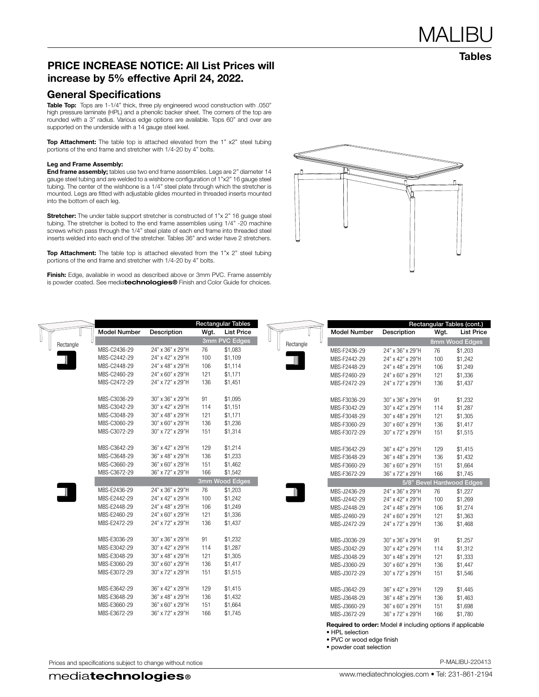Tables

## PRICE INCREASE NOTICE: All List Prices will increase by 5% effective April 24, 2022.

## General Specifications

Table Top: Tops are 1-1/4" thick, three ply engineered wood construction with .050" high pressure laminate (HPL) and a phenolic backer sheet. The corners of the top are rounded with a 3" radius. Various edge options are available. Tops 60" and over are supported on the underside with a 14 gauge steel keel.

Top Attachment: The table top is attached elevated from the 1" x2" steel tubing portions of the end frame and stretcher with 1/4-20 by 4" bolts.

#### Leg and Frame Assembly:

End frame assembly; tables use two end frame assemblies. Legs are 2" diameter 14 gauge steel tubing and are welded to a wishbone configuration of 1"x2" 16 gauge steel tubing. The center of the wishbone is a 1/4" steel plate through which the stretcher is mounted. Legs are fitted with adjustable glides mounted in threaded inserts mounted into the bottom of each leg.

**Stretcher:** The under table support stretcher is constructed of 1"x 2" 16 guage steel tubing. The stretcher is bolted to the end frame assemblies using 1/4" -20 machine screws which pass through the 1/4" steel plate of each end frame into threaded steel inserts welded into each end of the stretcher. Tables 36" and wider have 2 stretchers.

Top Attachment: The table top is attached elevated from the 1"x 2" steel tubing portions of the end frame and stretcher with 1/4-20 by 4" bolts.

Finish: Edge, available in wood as described above or 3mm PVC. Frame assembly is powder coated. See mediatechnologies® Finish and Color Guide for choices.



|           |                     |                  |      | <b>Rectangular Tables</b> |           |                                                                                                                                       |                  |      | Rectangular Tables (cont.) |
|-----------|---------------------|------------------|------|---------------------------|-----------|---------------------------------------------------------------------------------------------------------------------------------------|------------------|------|----------------------------|
|           | <b>Model Number</b> | Description      | Wgt. | <b>List Price</b>         |           | <b>Model Number</b>                                                                                                                   | Description      | Wgt. | <b>List Price</b>          |
| Rectangle |                     |                  |      | 3mm PVC Edges             | Rectangle |                                                                                                                                       |                  |      | 8mm Wood Edges             |
|           | MBS-C2436-29        | 24" x 36" x 29"H | 76   | \$1,083                   |           | MBS-F2436-29                                                                                                                          | 24" x 36" x 29"H | 76   | \$1,203                    |
|           | MBS-C2442-29        | 24" x 42" x 29"H | 100  | \$1,109                   |           | MBS-F2442-29                                                                                                                          | 24" x 42" x 29"H | 100  | \$1,242                    |
|           | MBS-C2448-29        | 24" x 48" x 29"H | 106  | \$1,114                   |           | MBS-F2448-29                                                                                                                          | 24" x 48" x 29"H | 106  | \$1,249                    |
|           | MBS-C2460-29        | 24" x 60" x 29"H | 121  | \$1,171                   |           | MBS-F2460-29                                                                                                                          | 24" x 60" x 29"H | 121  | \$1,336                    |
|           | MBS-C2472-29        | 24" x 72" x 29"H | 136  | \$1,451                   |           | MBS-F2472-29                                                                                                                          | 24" x 72" x 29"H | 136  | \$1,437                    |
|           | MBS-C3036-29        | 30" x 36" x 29"H | 91   | \$1,095                   |           | MBS-F3036-29                                                                                                                          | 30" x 36" x 29"H | 91   | \$1,232                    |
|           | MBS-C3042-29        | 30" x 42" x 29"H | 114  | \$1,151                   |           | MBS-F3042-29                                                                                                                          | 30" x 42" x 29"H | 114  | \$1,287                    |
|           | MBS-C3048-29        | 30" x 48" x 29"H | 121  | \$1,171                   |           | MBS-F3048-29                                                                                                                          | 30" x 48" x 29"H | 121  | \$1,305                    |
|           | MBS-C3060-29        | 30" x 60" x 29"H | 136  | \$1,236                   |           | MBS-F3060-29                                                                                                                          | 30" x 60" x 29"H | 136  | \$1,417                    |
|           | MBS-C3072-29        | 30" x 72" x 29"H | 151  | \$1,314                   |           | MBS-F3072-29                                                                                                                          | 30" x 72" x 29"H | 151  | \$1,515                    |
|           | MBS-C3642-29        | 36" x 42" x 29"H | 129  | \$1,214                   |           | MBS-F3642-29                                                                                                                          | 36" x 42" x 29"H | 129  | \$1,415                    |
|           | MBS-C3648-29        | 36" x 48" x 29"H | 136  | \$1,233                   |           | MBS-F3648-29                                                                                                                          | 36" x 48" x 29"H | 136  | \$1,432                    |
|           | MBS-C3660-29        | 36" x 60" x 29"H | 151  | \$1,462                   |           | MBS-F3660-29                                                                                                                          | 36" x 60" x 29"H | 151  | \$1,664                    |
|           | MBS-C3672-29        | 36" x 72" x 29"H | 166  | \$1,542                   |           | MBS-F3672-29                                                                                                                          | 36" x 72" x 29"H | 166  | \$1,745                    |
|           |                     |                  |      | 3mm Wood Edges            |           |                                                                                                                                       |                  |      | 5/8" Bevel Hardwood Edges  |
|           | MBS-E2436-29        | 24" x 36" x 29"H | 76   | \$1,203                   |           | MBS-J2436-29                                                                                                                          | 24" x 36" x 29"H | 76   | \$1,227                    |
|           | MBS-E2442-29        | 24" x 42" x 29"H | 100  | \$1,242                   |           | MBS-J2442-29                                                                                                                          | 24" x 42" x 29"H | 100  | \$1,269                    |
|           | MBS-E2448-29        | 24" x 48" x 29"H | 106  | \$1,249                   |           | MBS-J2448-29                                                                                                                          | 24" x 48" x 29"H | 106  | \$1,274                    |
|           | MBS-E2460-29        | 24" x 60" x 29"H | 121  | \$1,336                   |           | MBS-J2460-29                                                                                                                          | 24" x 60" x 29"H | 121  | \$1,363                    |
|           | MBS-E2472-29        | 24" x 72" x 29"H | 136  | \$1,437                   |           | MBS-J2472-29                                                                                                                          | 24" x 72" x 29"H | 136  | \$1,468                    |
|           | MBS-E3036-29        | 30" x 36" x 29"H | 91   | \$1,232                   |           | MBS-J3036-29                                                                                                                          | 30" x 36" x 29"H | 91   | \$1,257                    |
|           | MBS-E3042-29        | 30" x 42" x 29"H | 114  | \$1,287                   |           | MBS-J3042-29                                                                                                                          | 30" x 42" x 29"H | 114  | \$1,312                    |
|           | MBS-E3048-29        | 30" x 48" x 29"H | 121  | \$1,305                   |           | MBS-J3048-29                                                                                                                          | 30" x 48" x 29"H | 121  | \$1,333                    |
|           | MBS-E3060-29        | 30" x 60" x 29"H | 136  | \$1,417                   |           | MBS-J3060-29                                                                                                                          | 30" x 60" x 29"H | 136  | \$1,447                    |
|           | MBS-E3072-29        | 30" x 72" x 29"H | 151  | \$1,515                   |           | MBS-J3072-29                                                                                                                          | 30" x 72" x 29"H | 151  | \$1,546                    |
|           | MBS-E3642-29        | 36" x 42" x 29"H | 129  | \$1,415                   |           | MBS-J3642-29                                                                                                                          | 36" x 42" x 29"H | 129  | \$1,445                    |
|           | MBS-E3648-29        | 36" x 48" x 29"H | 136  | \$1,432                   |           | MBS-J3648-29                                                                                                                          | 36" x 48" x 29"H | 136  | \$1,463                    |
|           | MBS-E3660-29        | 36" x 60" x 29"H | 151  | \$1,664                   |           | MBS-J3660-29                                                                                                                          | 36" x 60" x 29"H | 151  | \$1,698                    |
|           | MBS-E3672-29        | 36" x 72" x 29"H | 166  | \$1,745                   |           | MBS-J3672-29                                                                                                                          | 36" x 72" x 29"H | 166  | \$1,780                    |
|           |                     |                  |      |                           |           | Required to order: Model # including options if applicable<br>• HPL selection<br>• PVC or wood edge finish<br>• powder coat selection |                  |      |                            |

Prices and specifications subject to change without notice **P-MALIBU-220413** P-MALIBU-220413